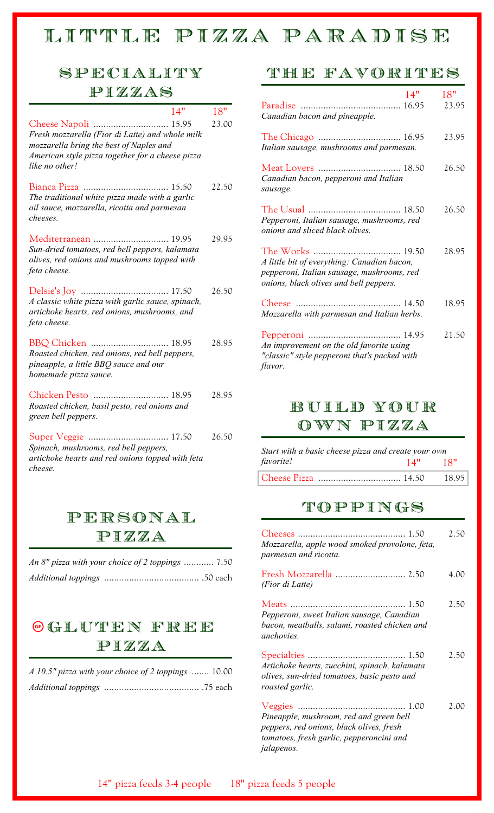# LITTLE PIZZA PARADISE

## Speciality Pizzas

|                                                                                                                                        | 14" | 18"   |
|----------------------------------------------------------------------------------------------------------------------------------------|-----|-------|
| Fresh mozzarella (Fior di Latte) and whole milk<br>mozzarella bring the best of Naples and                                             |     | 23.00 |
| American style pizza together for a cheese pizza<br>like no other!                                                                     |     |       |
| The traditional white pizza made with a garlic<br>oil sauce, mozzarella, ricotta and parmesan<br>cheeses.                              |     | 22.50 |
| Mediterranean  19.95<br>Sun-dried tomatoes, red bell peppers, kalamata<br>olives, red onions and mushrooms topped with<br>feta cheese. |     | 29.95 |
| A classic white pizza with garlic sauce, spinach,<br>artichoke hearts, red onions, mushrooms, and<br>feta cheese.                      |     | 26.50 |
| Roasted chicken, red onions, red bell peppers,<br>pineapple, a little BBQ sauce and our<br>homemade pizza sauce.                       |     | 28.95 |
| Chicken Pesto  18.95<br>Roasted chicken, basil pesto, red onions and<br>green bell peppers.                                            |     | 28.95 |
| Spinach, mushrooms, red bell peppers,<br>artichoke hearts and red onions topped with feta<br>cheese.                                   |     | 26.50 |

### Personal Pizza

| An 8" pizza with your choice of 2 toppings  7.50 |  |
|--------------------------------------------------|--|
|                                                  |  |

## Gluten Free Ô Pizza

| A 10.5" pizza with your choice of 2 toppings  10.00 |  |
|-----------------------------------------------------|--|
|                                                     |  |

### The Favorites

| Canadian bacon and pineapple.                                                                                                       | 14" | 18"<br>23.95 |
|-------------------------------------------------------------------------------------------------------------------------------------|-----|--------------|
| Italian sausage, mushrooms and parmesan.                                                                                            |     | 23.95        |
| Canadian bacon, pepperoni and Italian<br>sausage.                                                                                   |     | 26.50        |
| Pepperoni, Italian sausage, mushrooms, red<br>onions and sliced black olives.                                                       |     | 26.50        |
| A little bit of everything: Canadian bacon,<br>pepperoni, Italian sausage, mushrooms, red<br>onions, black olives and bell peppers. |     | 28.95        |
| Mozzarella with parmesan and Italian herbs.                                                                                         |     | 18.95        |
| An improvement on the old favorite using<br>"classic" style pepperoni that's packed with<br><i>flavor.</i>                          |     | 21.50        |

## Build Your Own Pizza

| Start with a basic cheese pizza and create your own |         |  |
|-----------------------------------------------------|---------|--|
| <i>favorite!</i>                                    | 14" 18" |  |
|                                                     |         |  |

### Toppings

| Mozzarella, apple wood smoked provolone, feta,<br>parmesan and ricotta.                                                         | 2.50 |
|---------------------------------------------------------------------------------------------------------------------------------|------|
| Fresh Mozzarella  2.50<br>(Fior di Latte)                                                                                       | 4.00 |
| Pepperoni, sweet Italian sausage, Canadian<br>bacon, meatballs, salami, roasted chicken and<br>anchovies.                       | 2.50 |
| Artichoke hearts, zucchini, spinach, kalamata<br>olives, sun-dried tomatoes, basic pesto and<br>roasted garlic.                 | 2.50 |
| Pineapple, mushroom, red and green bell<br>peppers, red onions, black olives, fresh<br>tomatoes, fresh garlic, pepperoncini and | 2.00 |

*jalapenos.*